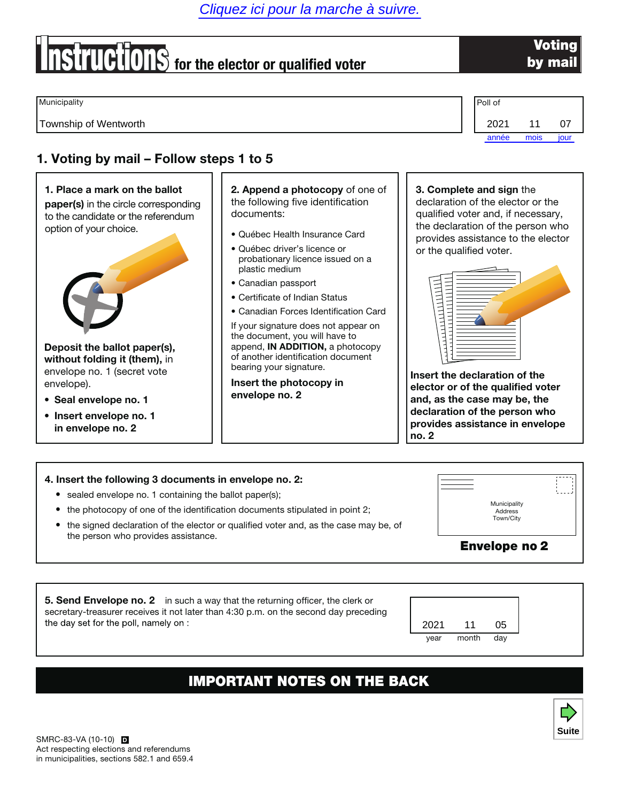# **Instructions** for the elector or qualified voter

## Voting by mail



## 1. Place a mark on the ballot paper(s) in the circle corresponding to the candidate or the referendum option of your choice.



Deposit the ballot paper(s), without folding it (them), in envelope no. 1 (secret vote envelope).

- *•* Seal envelope no. 1
- *•* Insert envelope no. 1 in envelope no. 2

2. Append a photocopy of one of the following five identification documents:

- *•* Québec Health Insurance Card
- *•* Québec driver's licence or probationary licence issued on a plastic medium
- *•* Canadian passport
- *•* Certificate of Indian Status
- *•* Canadian Forces Identification Card

If your signature does not appear on the document, you will have to append, IN ADDITION, a photocopy of another identification document bearing your signature.

Insert the photocopy in envelope no. 2

#### 3. Complete and sign the

declaration of the elector or the qualified voter and, if necessary, the declaration of the person who provides assistance to the elector or the qualified voter.



Insert the declaration of the elector or of the qualified voter and, as the case may be, the declaration of the person who provides assistance in envelope no. 2

#### 4. Insert the following 3 documents in envelope no. 2: *•* sealed envelope no. 1 containing the ballot paper(s); • the photocopy of one of the identification documents stipulated in point 2; • the signed declaration of the elector or qualified voter and, as the case may be, of the person who provides assistance. Municipality Address Town/City Envelope no 2

**5. Send Envelope no. 2** in such a way that the returning officer, the clerk or secretary-treasurer receives it not later than 4:30 p.m. on the second day preceding the day set for the poll, namely on :

| 2021 | 11    | 05  |  |
|------|-------|-----|--|
| year | month | day |  |
|      |       |     |  |

# IMPORTANT NOTES ON THE BACK